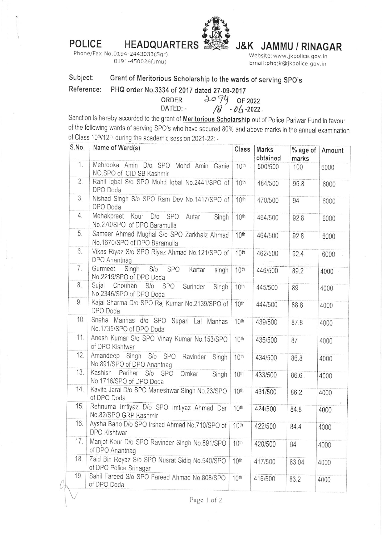POLICE HEADQUARTERS



## J&K JAMMU / RINAGAR

Phone/Fax No.0194-2443033(Sgr) 0191-450026(Jmu)

Website:www. jkpolice. gov. in Ema il:phq jk@jkpolice. gov. in

## Subject: Grant of Meritorious Scholarship to the wards of serving SPO's

Reference: PHQ order No.3334 of 2017 dated 27-09-2017

ORDER  $\frac{\partial o}{\partial y}$  of 2022<br>DATED:  $\frac{\partial o}{\partial z}$ 

Sanction is hereby accorded to the grant of <u>Meritorious Scholarship</u> out of Police Pariwar Fund in favour of the following wards of serving SPO's who have secured 80% and above marks in the annual examination of Class 10<sup>th</sup>/12<sup>th</sup> during the academic session 2021-22: -

| S.No. | Name of Ward(s)                                                            | Class            | Marks<br>obtained | % age of<br>marks | Amount |
|-------|----------------------------------------------------------------------------|------------------|-------------------|-------------------|--------|
| 1.    | Mehrooka Amin D/o SPO Mohd Amin Ganie<br>NO.SPO of CID SB Kashmir          | 10th             | 500/500           | 100               | 6000   |
| 2.    | Rahil Iqbal S/o SPO Mohd Iqbal No.2441/SPO of<br>DPO Doda                  | 10 <sup>th</sup> | 484/500           | 96.8              | 6000   |
| 3.    | Nishad Singh S/o SPO Ram Dev No.1417/SPO of<br>DPO Doda                    | 10th             | 470/500           | 94                | 6000   |
| 4.    | Mehakpreet Kour D/o SPO Autar<br>Singh<br>No.270/SPO of DPO Baramulla      | 10th             | 464/500           | 92.8              | 6000   |
| 5.    | Sameer Ahmad Mughal S/o SPO Zarkhaiz Ahmad<br>No.1670/SPO of DPO Baramulla | 10th             | 464/500           | 92.8              | 6000   |
| 6.    | Vikas Riyaz S/o SPO Riyaz Ahmad No.121/SPO of<br>DPO Anantnag              | 10th             | 462/500           | 92.4              | 6000   |
| 7.    | Gurmeet Singh<br>S/O<br>SPO<br>Kartar<br>singh<br>No.2219/SPO of DPO Doda  | 10th             | 446/500           | 89.2              | 4000   |
| 8.    | Sujal Chouhan S/o SPO<br>Surinder<br>Singh<br>No.2346/SPO of DPO Doda      | 10th             | 445/500           | 89                | 4000   |
| 9.    | Kajal Sharma D/o SPO Raj Kumar No.2139/SPO of<br>DPO Doda                  | 10th             | 444/500           | 88.8              | 4000   |
| 10.   | Sneha Manhas d/o SPO Supari Lal Manhas<br>No.1735/SPO of DPO Doda          | 10th             | 439/500           | 87.8              | 4000   |
| 11.   | Anesh Kumar S/o SPO Vinay Kumar No.153/SPO<br>of DPO Kishtwar              | 10 <sup>th</sup> | 435/500           | 87                | 4000   |
| 12.   | Amandeep Singh S/o SPO Ravinder Singh<br>No.891/SPO of DPO Anantnag        | 10 <sup>th</sup> | 434/500           | 86.8              | 4000   |
| 13.   | Kashish Parihar S/o SPO Omkar<br>Singh<br>No.1716/SPO of DPO Doda          | 10th             | 433/500           | 86.6              | 4000   |
| 14.   | Kavita Jaral D/o SPO Maneshwar Singh No.23/SPO<br>of DPO Doda              | 10 <sup>th</sup> | 431/500           | 86.2              | 4000   |
| 15.   | Rehnuma Imtiyaz D/o SPO Imtiyaz Ahmad Dar<br>No.82/SPO GRP Kashmir         | 10 <sup>th</sup> | 424/500           | 84.8              | 4000   |
| 16.   | Aysha Bano D/o SPO Irshad Ahmad No.710/SPO of   10th<br>DPO Kishtwar       |                  | 422/500           | 84.4              | 4000   |
| 17.   | Manjot Kour D/o SPO Ravinder Singh No.891/SPO<br>of DPO Anantnag           | 10th             | 420/500           | 84                | 4000   |
| 18.   | Zaid Bin Reyaz S/o SPO Nusrat Sidiq No.540/SPO<br>of DPO Police Srinagar   | 10 <sup>th</sup> | 417/500           | 83.04             | 4000   |
| 19.   | Sahil Fareed S/o SPO Fareed Ahmad No.808/SPO<br>of DPO Doda                | 10th             | 416/500           | 83.2              | 4000   |